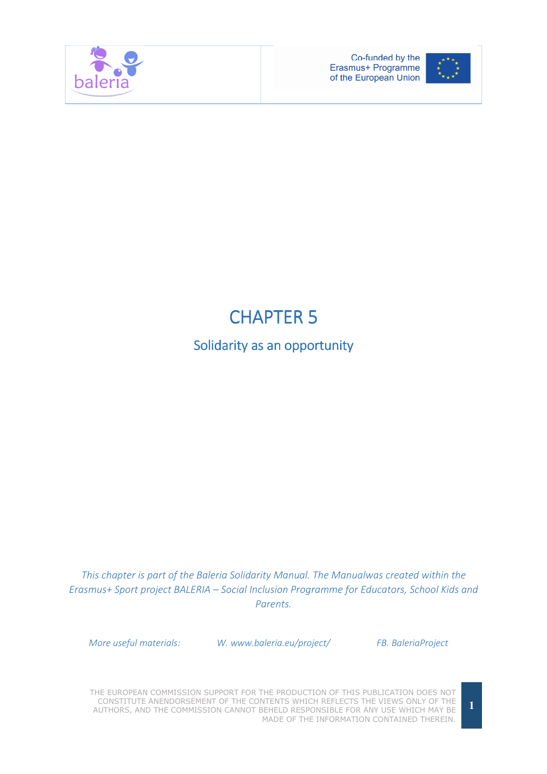



# **CHAPTER 5**

# Solidarity as an opportunity

This chapter is part of the Baleria Solidarity Manual. The Manualwas created within the Erasmus+ Sport project BALERIA – Social Inclusion Programme for Educators, School Kids and Parents.

More useful materials: W. www.baleria.eu/project/ FB. BaleriaProject

THE EUROPEAN COMMISSION SUPPORT FOR THE PRODUCTION OF THIS PUBLICATION DOES NOT CONSTITUTE ANENDORSEMENT OF THE CONTENTS WHICH REFLECTS THE VIEWS ONLY OF THE AUTHORS, AND THE COMMISSION CANNOT BEHELD RESPONSIBLE FOR ANY USE WHICH MAY BE MADE OF THE INFORMATION CONTAINED THEREIN.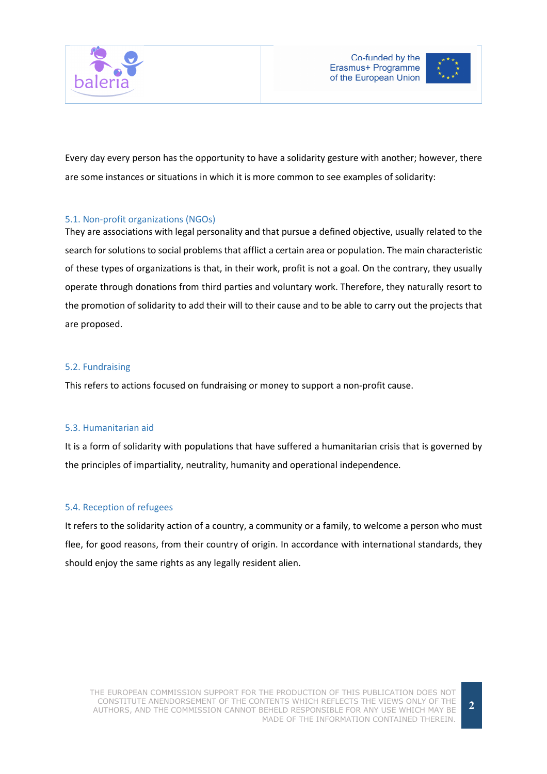



Every day every person has the opportunity to have a solidarity gesture with another; however, there are some instances or situations in which it is more common to see examples of solidarity:

# 5.1. Non-profit organizations (NGOs)

They are associations with legal personality and that pursue a defined objective, usually related to the search for solutions to social problems that afflict a certain area or population. The main characteristic of these types of organizations is that, in their work, profit is not a goal. On the contrary, they usually operate through donations from third parties and voluntary work. Therefore, they naturally resort to the promotion of solidarity to add their will to their cause and to be able to carry out the projects that are proposed.

# 5.2. Fundraising

This refers to actions focused on fundraising or money to support a non-profit cause.

### 5.3. Humanitarian aid

It is a form of solidarity with populations that have suffered a humanitarian crisis that is governed by the principles of impartiality, neutrality, humanity and operational independence.

### 5.4. Reception of refugees

It refers to the solidarity action of a country, a community or a family, to welcome a person who must flee, for good reasons, from their country of origin. In accordance with international standards, they should enjoy the same rights as any legally resident alien.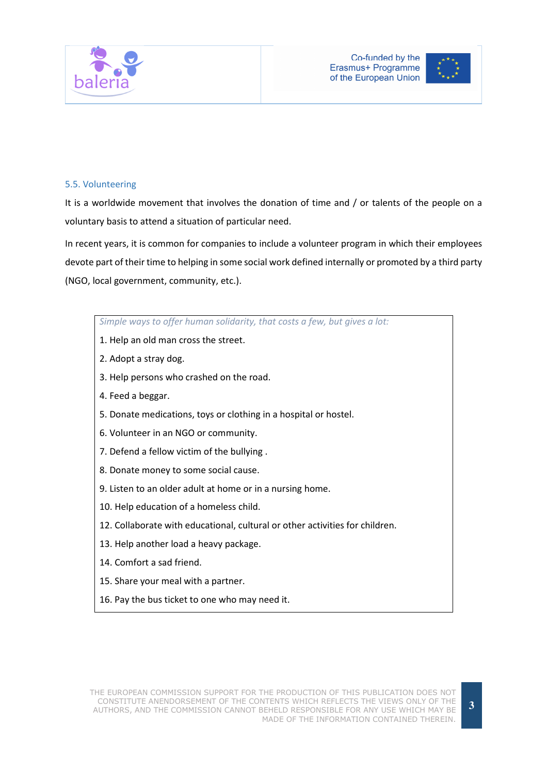

# 5.5. Volunteering

It is a worldwide movement that involves the donation of time and / or talents of the people on a voluntary basis to attend a situation of particular need.

In recent years, it is common for companies to include a volunteer program in which their employees devote part of their time to helping in some social work defined internally or promoted by a third party (NGO, local government, community, etc.).

### Simple ways to offer human solidarity, that costs a few, but gives a lot:

- 1. Help an old man cross the street.
- 2. Adopt a stray dog.
- 3. Help persons who crashed on the road.
- 4. Feed a beggar.
- 5. Donate medications, toys or clothing in a hospital or hostel.
- 6. Volunteer in an NGO or community.
- 7. Defend a fellow victim of the bullying .
- 8. Donate money to some social cause.
- 9. Listen to an older adult at home or in a nursing home.
- 10. Help education of a homeless child.
- 12. Collaborate with educational, cultural or other activities for children.
- 13. Help another load a heavy package.
- 14. Comfort a sad friend.
- 15. Share your meal with a partner.
- 16. Pay the bus ticket to one who may need it.